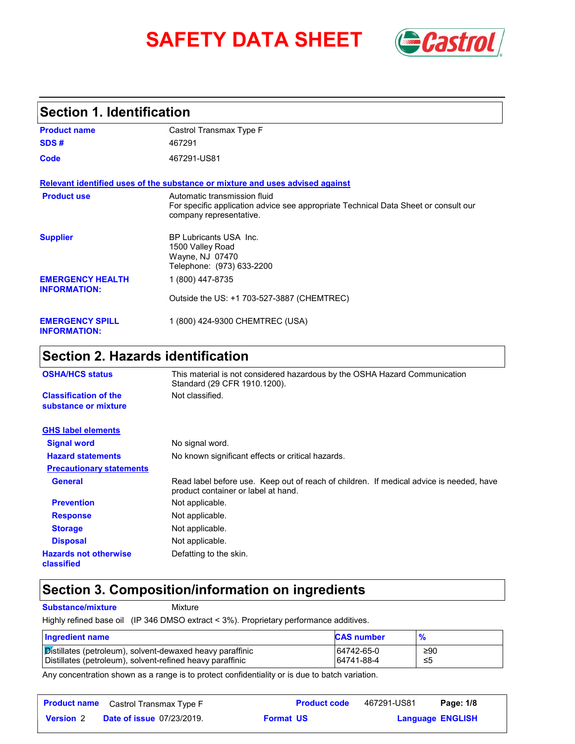# **SAFETY DATA SHEET** *Castrol*



## **Section 1. Identification**

| <b>Product name</b>                            | Castrol Transmax Type F                                                                                                                        |
|------------------------------------------------|------------------------------------------------------------------------------------------------------------------------------------------------|
| SDS#                                           | 467291                                                                                                                                         |
| Code                                           | 467291-US81                                                                                                                                    |
|                                                | Relevant identified uses of the substance or mixture and uses advised against                                                                  |
| <b>Product use</b>                             | Automatic transmission fluid<br>For specific application advice see appropriate Technical Data Sheet or consult our<br>company representative. |
| <b>Supplier</b>                                | BP Lubricants USA Inc.<br>1500 Valley Road<br>Wayne, NJ 07470<br>Telephone: (973) 633-2200                                                     |
| <b>EMERGENCY HEALTH</b><br><b>INFORMATION:</b> | 1 (800) 447-8735                                                                                                                               |
|                                                | Outside the US: +1 703-527-3887 (CHEMTREC)                                                                                                     |
| <b>EMERGENCY SPILL</b><br><b>INFORMATION:</b>  | 1 (800) 424-9300 CHEMTREC (USA)                                                                                                                |

# **Section 2. Hazards identification**

| <b>OSHA/HCS status</b>                               | This material is not considered hazardous by the OSHA Hazard Communication<br>Standard (29 CFR 1910.1200).                     |  |
|------------------------------------------------------|--------------------------------------------------------------------------------------------------------------------------------|--|
| <b>Classification of the</b><br>substance or mixture | Not classified.                                                                                                                |  |
| <b>GHS label elements</b>                            |                                                                                                                                |  |
| <b>Signal word</b>                                   | No signal word.                                                                                                                |  |
| <b>Hazard statements</b>                             | No known significant effects or critical hazards.                                                                              |  |
| <b>Precautionary statements</b>                      |                                                                                                                                |  |
| <b>General</b>                                       | Read label before use. Keep out of reach of children. If medical advice is needed, have<br>product container or label at hand. |  |
| <b>Prevention</b>                                    | Not applicable.                                                                                                                |  |
| <b>Response</b>                                      | Not applicable.                                                                                                                |  |
| <b>Storage</b>                                       | Not applicable.                                                                                                                |  |
| <b>Disposal</b>                                      | Not applicable.                                                                                                                |  |
| <b>Hazards not otherwise</b><br>classified           | Defatting to the skin.                                                                                                         |  |

## **Section 3. Composition/information on ingredients**

**Substance/mixture** Mixture

Highly refined base oil (IP 346 DMSO extract < 3%). Proprietary performance additives.

| <b>Ingredient name</b>                                    | <b>CAS number</b> | %   |
|-----------------------------------------------------------|-------------------|-----|
| Distillates (petroleum), solvent-dewaxed heavy paraffinic | 64742-65-0        | ≥90 |
| Distillates (petroleum), solvent-refined heavy paraffinic | 64741-88-4        | -≤5 |

Any concentration shown as a range is to protect confidentiality or is due to batch variation.

|                  | <b>Product name</b> Castrol Transmax Type F |                  | <b>Product code</b> | 467291-US81             | Page: 1/8 |  |
|------------------|---------------------------------------------|------------------|---------------------|-------------------------|-----------|--|
| <b>Version 2</b> | <b>Date of issue 07/23/2019.</b>            | <b>Format US</b> |                     | <b>Language ENGLISH</b> |           |  |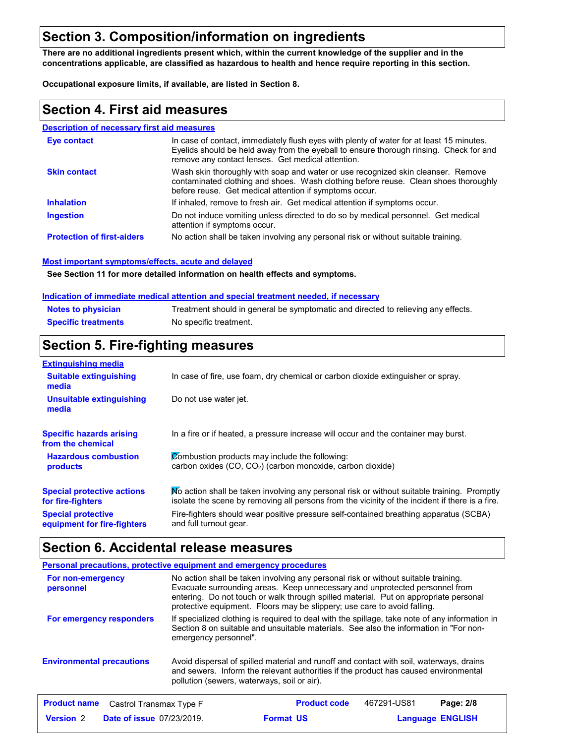## **Section 3. Composition/information on ingredients**

**There are no additional ingredients present which, within the current knowledge of the supplier and in the concentrations applicable, are classified as hazardous to health and hence require reporting in this section.**

**Occupational exposure limits, if available, are listed in Section 8.**

## **Section 4. First aid measures**

#### **Description of necessary first aid measures**

| Eye contact                       | In case of contact, immediately flush eyes with plenty of water for at least 15 minutes.<br>Evelids should be held away from the eyeball to ensure thorough rinsing. Check for and<br>remove any contact lenses. Get medical attention. |
|-----------------------------------|-----------------------------------------------------------------------------------------------------------------------------------------------------------------------------------------------------------------------------------------|
| <b>Skin contact</b>               | Wash skin thoroughly with soap and water or use recognized skin cleanser. Remove<br>contaminated clothing and shoes. Wash clothing before reuse. Clean shoes thoroughly<br>before reuse. Get medical attention if symptoms occur.       |
| <b>Inhalation</b>                 | If inhaled, remove to fresh air. Get medical attention if symptoms occur.                                                                                                                                                               |
| <b>Ingestion</b>                  | Do not induce vomiting unless directed to do so by medical personnel. Get medical<br>attention if symptoms occur.                                                                                                                       |
| <b>Protection of first-aiders</b> | No action shall be taken involving any personal risk or without suitable training.                                                                                                                                                      |

#### **Most important symptoms/effects, acute and delayed**

**See Section 11 for more detailed information on health effects and symptoms.**

#### **Indication of immediate medical attention and special treatment needed, if necessary**

| <b>Notes to physician</b>  | Treatment should in general be symptomatic and directed to relieving any effects. |
|----------------------------|-----------------------------------------------------------------------------------|
| <b>Specific treatments</b> | No specific treatment.                                                            |

## **Section 5. Fire-fighting measures**

| <b>Extinguishing media</b>                               |                                                                                                                                                                                                |
|----------------------------------------------------------|------------------------------------------------------------------------------------------------------------------------------------------------------------------------------------------------|
| <b>Suitable extinguishing</b><br>media                   | In case of fire, use foam, dry chemical or carbon dioxide extinguisher or spray.                                                                                                               |
| Unsuitable extinguishing<br>media                        | Do not use water jet.                                                                                                                                                                          |
| <b>Specific hazards arising</b><br>from the chemical     | In a fire or if heated, a pressure increase will occur and the container may burst.                                                                                                            |
| <b>Hazardous combustion</b><br>products                  | Combustion products may include the following:<br>carbon oxides (CO, CO <sub>2</sub> ) (carbon monoxide, carbon dioxide)                                                                       |
| <b>Special protective actions</b><br>for fire-fighters   | No action shall be taken involving any personal risk or without suitable training. Promptly<br>isolate the scene by removing all persons from the vicinity of the incident if there is a fire. |
| <b>Special protective</b><br>equipment for fire-fighters | Fire-fighters should wear positive pressure self-contained breathing apparatus (SCBA)<br>and full turnout gear.                                                                                |

## **Section 6. Accidental release measures**

|                                                | <b>Personal precautions, protective equipment and emergency procedures</b>                                                                                                                                                                                                                                                            |
|------------------------------------------------|---------------------------------------------------------------------------------------------------------------------------------------------------------------------------------------------------------------------------------------------------------------------------------------------------------------------------------------|
| For non-emergency<br>personnel                 | No action shall be taken involving any personal risk or without suitable training.<br>Evacuate surrounding areas. Keep unnecessary and unprotected personnel from<br>entering. Do not touch or walk through spilled material. Put on appropriate personal<br>protective equipment. Floors may be slippery; use care to avoid falling. |
| For emergency responders                       | If specialized clothing is required to deal with the spillage, take note of any information in<br>Section 8 on suitable and unsuitable materials. See also the information in "For non-<br>emergency personnel".                                                                                                                      |
| <b>Environmental precautions</b>               | Avoid dispersal of spilled material and runoff and contact with soil, waterways, drains<br>and sewers. Inform the relevant authorities if the product has caused environmental<br>pollution (sewers, waterways, soil or air).                                                                                                         |
| <b>Product name</b><br>Castrol Transmax Type F | 467291-US81<br><b>Product code</b><br>Page: 2/8                                                                                                                                                                                                                                                                                       |

**Date of issue** 07/23/2019. **Version** 2 **Format Language**

**Format US** 

**Language ENGLISH**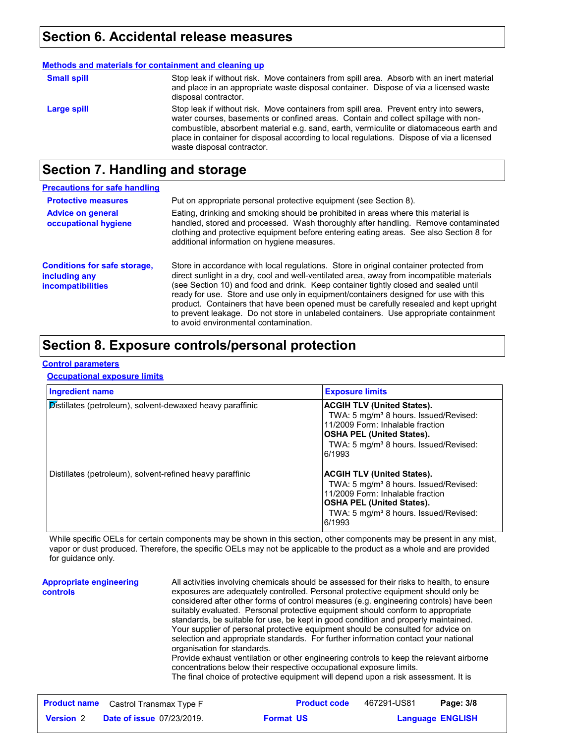## **Section 6. Accidental release measures**

|                    | Methods and materials for containment and cleaning up                                                                                                                                                                                                                                                                                                                                              |
|--------------------|----------------------------------------------------------------------------------------------------------------------------------------------------------------------------------------------------------------------------------------------------------------------------------------------------------------------------------------------------------------------------------------------------|
| <b>Small spill</b> | Stop leak if without risk. Move containers from spill area. Absorb with an inert material<br>and place in an appropriate waste disposal container. Dispose of via a licensed waste<br>disposal contractor.                                                                                                                                                                                         |
| Large spill        | Stop leak if without risk. Move containers from spill area. Prevent entry into sewers,<br>water courses, basements or confined areas. Contain and collect spillage with non-<br>combustible, absorbent material e.g. sand, earth, vermiculite or diatomaceous earth and<br>place in container for disposal according to local regulations. Dispose of via a licensed<br>waste disposal contractor. |

# **Section 7. Handling and storage**

| <b>Precautions for safe handling</b>                                             |                                                                                                                                                                                                                                                                                                                                                                                                                                                                                                                                                                                               |
|----------------------------------------------------------------------------------|-----------------------------------------------------------------------------------------------------------------------------------------------------------------------------------------------------------------------------------------------------------------------------------------------------------------------------------------------------------------------------------------------------------------------------------------------------------------------------------------------------------------------------------------------------------------------------------------------|
| <b>Protective measures</b>                                                       | Put on appropriate personal protective equipment (see Section 8).                                                                                                                                                                                                                                                                                                                                                                                                                                                                                                                             |
| <b>Advice on general</b><br>occupational hygiene                                 | Eating, drinking and smoking should be prohibited in areas where this material is<br>handled, stored and processed. Wash thoroughly after handling. Remove contaminated<br>clothing and protective equipment before entering eating areas. See also Section 8 for<br>additional information on hygiene measures.                                                                                                                                                                                                                                                                              |
| <b>Conditions for safe storage,</b><br>including any<br><i>incompatibilities</i> | Store in accordance with local regulations. Store in original container protected from<br>direct sunlight in a dry, cool and well-ventilated area, away from incompatible materials<br>(see Section 10) and food and drink. Keep container tightly closed and sealed until<br>ready for use. Store and use only in equipment/containers designed for use with this<br>product. Containers that have been opened must be carefully resealed and kept upright<br>to prevent leakage. Do not store in unlabeled containers. Use appropriate containment<br>to avoid environmental contamination. |

## **Section 8. Exposure controls/personal protection**

#### **Control parameters**

#### **Occupational exposure limits**

| <b>Ingredient name</b>                                    | <b>Exposure limits</b>                                                                                                                                                                                                  |
|-----------------------------------------------------------|-------------------------------------------------------------------------------------------------------------------------------------------------------------------------------------------------------------------------|
| Distillates (petroleum), solvent-dewaxed heavy paraffinic | <b>ACGIH TLV (United States).</b><br>TWA: 5 mg/m <sup>3</sup> 8 hours. Issued/Revised:<br>11/2009 Form: Inhalable fraction<br> OSHA PEL (United States).<br>TWA: 5 mg/m <sup>3</sup> 8 hours. Issued/Revised:<br>6/1993 |
| Distillates (petroleum), solvent-refined heavy paraffinic | <b>ACGIH TLV (United States).</b><br>TWA: 5 mg/m <sup>3</sup> 8 hours. Issued/Revised:<br>11/2009 Form: Inhalable fraction<br> OSHA PEL (United States).<br>TWA: 5 mg/m <sup>3</sup> 8 hours. Issued/Revised:<br>6/1993 |

While specific OELs for certain components may be shown in this section, other components may be present in any mist, vapor or dust produced. Therefore, the specific OELs may not be applicable to the product as a whole and are provided for guidance only.

| <b>Appropriate engineering</b><br><b>controls</b> | All activities involving chemicals should be assessed for their risks to health, to ensure<br>exposures are adequately controlled. Personal protective equipment should only be<br>considered after other forms of control measures (e.g. engineering controls) have been<br>suitably evaluated. Personal protective equipment should conform to appropriate<br>standards, be suitable for use, be kept in good condition and properly maintained.<br>Your supplier of personal protective equipment should be consulted for advice on<br>selection and appropriate standards. For further information contact your national |
|---------------------------------------------------|------------------------------------------------------------------------------------------------------------------------------------------------------------------------------------------------------------------------------------------------------------------------------------------------------------------------------------------------------------------------------------------------------------------------------------------------------------------------------------------------------------------------------------------------------------------------------------------------------------------------------|
|                                                   | organisation for standards.<br>Provide exhaust ventilation or other engineering controls to keep the relevant airborne<br>concentrations below their respective occupational exposure limits.<br>The final choice of protective equipment will depend upon a risk assessment. It is                                                                                                                                                                                                                                                                                                                                          |

|                  | <b>Product name</b> Castrol Transmax Type F |                  | <b>Product code</b> | 467291-US81             | Page: 3/8 |
|------------------|---------------------------------------------|------------------|---------------------|-------------------------|-----------|
| <b>Version 2</b> | <b>Date of issue 07/23/2019.</b>            | <b>Format US</b> |                     | <b>Language ENGLISH</b> |           |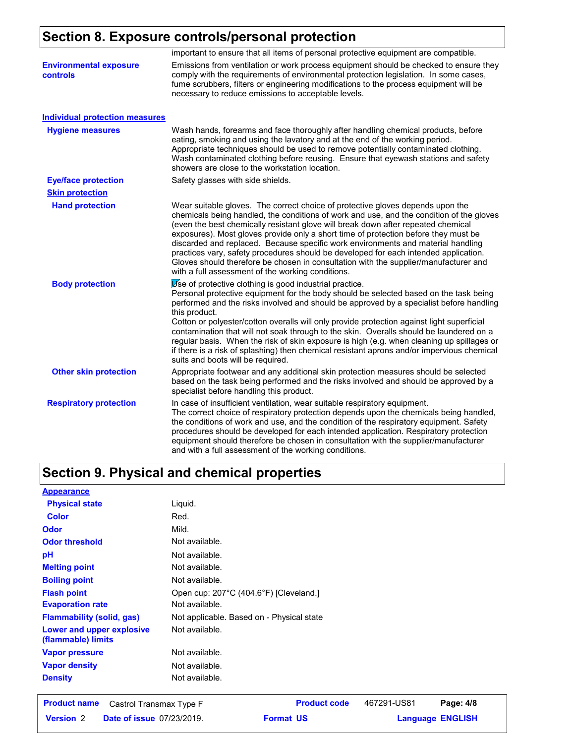# **Section 8. Exposure controls/personal protection**

|                                                  | important to ensure that all items of personal protective equipment are compatible.                                                                                                                                                                                                                                                                                                                                                                                                                                                                                                                                                                                                   |
|--------------------------------------------------|---------------------------------------------------------------------------------------------------------------------------------------------------------------------------------------------------------------------------------------------------------------------------------------------------------------------------------------------------------------------------------------------------------------------------------------------------------------------------------------------------------------------------------------------------------------------------------------------------------------------------------------------------------------------------------------|
| <b>Environmental exposure</b><br><b>controls</b> | Emissions from ventilation or work process equipment should be checked to ensure they<br>comply with the requirements of environmental protection legislation. In some cases,<br>fume scrubbers, filters or engineering modifications to the process equipment will be<br>necessary to reduce emissions to acceptable levels.                                                                                                                                                                                                                                                                                                                                                         |
| <b>Individual protection measures</b>            |                                                                                                                                                                                                                                                                                                                                                                                                                                                                                                                                                                                                                                                                                       |
| <b>Hygiene measures</b>                          | Wash hands, forearms and face thoroughly after handling chemical products, before<br>eating, smoking and using the lavatory and at the end of the working period.<br>Appropriate techniques should be used to remove potentially contaminated clothing.<br>Wash contaminated clothing before reusing. Ensure that eyewash stations and safety<br>showers are close to the workstation location.                                                                                                                                                                                                                                                                                       |
| <b>Eye/face protection</b>                       | Safety glasses with side shields.                                                                                                                                                                                                                                                                                                                                                                                                                                                                                                                                                                                                                                                     |
| <b>Skin protection</b>                           |                                                                                                                                                                                                                                                                                                                                                                                                                                                                                                                                                                                                                                                                                       |
| <b>Hand protection</b>                           | Wear suitable gloves. The correct choice of protective gloves depends upon the<br>chemicals being handled, the conditions of work and use, and the condition of the gloves<br>(even the best chemically resistant glove will break down after repeated chemical<br>exposures). Most gloves provide only a short time of protection before they must be<br>discarded and replaced. Because specific work environments and material handling<br>practices vary, safety procedures should be developed for each intended application.<br>Gloves should therefore be chosen in consultation with the supplier/manufacturer and<br>with a full assessment of the working conditions.       |
| <b>Body protection</b>                           | Use of protective clothing is good industrial practice.<br>Personal protective equipment for the body should be selected based on the task being<br>performed and the risks involved and should be approved by a specialist before handling<br>this product.<br>Cotton or polyester/cotton overalls will only provide protection against light superficial<br>contamination that will not soak through to the skin. Overalls should be laundered on a<br>regular basis. When the risk of skin exposure is high (e.g. when cleaning up spillages or<br>if there is a risk of splashing) then chemical resistant aprons and/or impervious chemical<br>suits and boots will be required. |
| <b>Other skin protection</b>                     | Appropriate footwear and any additional skin protection measures should be selected<br>based on the task being performed and the risks involved and should be approved by a<br>specialist before handling this product.                                                                                                                                                                                                                                                                                                                                                                                                                                                               |
| <b>Respiratory protection</b>                    | In case of insufficient ventilation, wear suitable respiratory equipment.<br>The correct choice of respiratory protection depends upon the chemicals being handled,<br>the conditions of work and use, and the condition of the respiratory equipment. Safety<br>procedures should be developed for each intended application. Respiratory protection<br>equipment should therefore be chosen in consultation with the supplier/manufacturer<br>and with a full assessment of the working conditions.                                                                                                                                                                                 |

# **Section 9. Physical and chemical properties**

| <b>Appearance</b>                               |                                           |
|-------------------------------------------------|-------------------------------------------|
| <b>Physical state</b>                           | Liquid.                                   |
| <b>Color</b>                                    | Red.                                      |
| <b>Odor</b>                                     | Mild.                                     |
| <b>Odor threshold</b>                           | Not available.                            |
| pH                                              | Not available.                            |
| <b>Melting point</b>                            | Not available.                            |
| <b>Boiling point</b>                            | Not available.                            |
| <b>Flash point</b>                              | Open cup: 207°C (404.6°F) [Cleveland.]    |
| <b>Evaporation rate</b>                         | Not available.                            |
| <b>Flammability (solid, gas)</b>                | Not applicable. Based on - Physical state |
| Lower and upper explosive<br>(flammable) limits | Not available.                            |
| <b>Vapor pressure</b>                           | Not available.                            |
| <b>Vapor density</b>                            | Not available.                            |
| <b>Density</b>                                  | Not available.                            |
|                                                 |                                           |

|                  | <b>Product name</b> Castrol Transmax Type F | <b>Product code</b> | 467291-US81 | Page: 4/8               |  |
|------------------|---------------------------------------------|---------------------|-------------|-------------------------|--|
| <b>Version 2</b> | <b>Date of issue 07/23/2019.</b>            | <b>Format US</b>    |             | <b>Language ENGLISH</b> |  |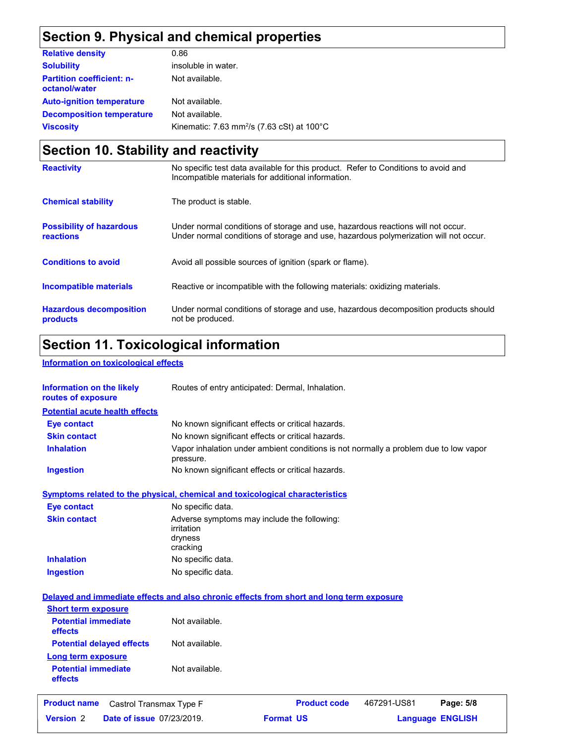# **Section 9. Physical and chemical properties**

| <b>Relative density</b>                           | 0.86                                                             |
|---------------------------------------------------|------------------------------------------------------------------|
| <b>Solubility</b>                                 | insoluble in water.                                              |
| <b>Partition coefficient: n-</b><br>octanol/water | Not available.                                                   |
| <b>Auto-ignition temperature</b>                  | Not available.                                                   |
| <b>Decomposition temperature</b>                  | Not available.                                                   |
| <b>Viscosity</b>                                  | Kinematic: 7.63 mm <sup>2</sup> /s (7.63 cSt) at $100^{\circ}$ C |

# **Section 10. Stability and reactivity**

| <b>Reactivity</b>                            | No specific test data available for this product. Refer to Conditions to avoid and<br>Incompatible materials for additional information.                                |
|----------------------------------------------|-------------------------------------------------------------------------------------------------------------------------------------------------------------------------|
| <b>Chemical stability</b>                    | The product is stable.                                                                                                                                                  |
| <b>Possibility of hazardous</b><br>reactions | Under normal conditions of storage and use, hazardous reactions will not occur.<br>Under normal conditions of storage and use, hazardous polymerization will not occur. |
| <b>Conditions to avoid</b>                   | Avoid all possible sources of ignition (spark or flame).                                                                                                                |
| <b>Incompatible materials</b>                | Reactive or incompatible with the following materials: oxidizing materials.                                                                                             |
| <b>Hazardous decomposition</b><br>products   | Under normal conditions of storage and use, hazardous decomposition products should<br>not be produced.                                                                 |

# **Section 11. Toxicological information**

### **Information on toxicological effects**

| <b>Information on the likely</b><br>routes of exposure                                   | Routes of entry anticipated: Dermal, Inhalation.                                                  |                     |                         |           |
|------------------------------------------------------------------------------------------|---------------------------------------------------------------------------------------------------|---------------------|-------------------------|-----------|
| <b>Potential acute health effects</b>                                                    |                                                                                                   |                     |                         |           |
| <b>Eye contact</b>                                                                       | No known significant effects or critical hazards.                                                 |                     |                         |           |
| <b>Skin contact</b>                                                                      | No known significant effects or critical hazards.                                                 |                     |                         |           |
| <b>Inhalation</b>                                                                        | Vapor inhalation under ambient conditions is not normally a problem due to low vapor<br>pressure. |                     |                         |           |
| <b>Ingestion</b>                                                                         | No known significant effects or critical hazards.                                                 |                     |                         |           |
| Symptoms related to the physical, chemical and toxicological characteristics             |                                                                                                   |                     |                         |           |
| <b>Eye contact</b>                                                                       | No specific data.                                                                                 |                     |                         |           |
| <b>Skin contact</b>                                                                      | Adverse symptoms may include the following:<br>irritation<br>dryness<br>cracking                  |                     |                         |           |
| <b>Inhalation</b>                                                                        | No specific data.                                                                                 |                     |                         |           |
| <b>Ingestion</b>                                                                         | No specific data.                                                                                 |                     |                         |           |
| Delayed and immediate effects and also chronic effects from short and long term exposure |                                                                                                   |                     |                         |           |
| <b>Short term exposure</b>                                                               |                                                                                                   |                     |                         |           |
| <b>Potential immediate</b><br>effects                                                    | Not available.                                                                                    |                     |                         |           |
| <b>Potential delayed effects</b>                                                         | Not available.                                                                                    |                     |                         |           |
| Long term exposure                                                                       |                                                                                                   |                     |                         |           |
| <b>Potential immediate</b><br>effects                                                    | Not available.                                                                                    |                     |                         |           |
| <b>Product name</b><br>Castrol Transmax Type F                                           |                                                                                                   | <b>Product code</b> | 467291-US81             | Page: 5/8 |
| <b>Version 2</b><br><b>Date of issue 07/23/2019.</b>                                     |                                                                                                   | <b>Format US</b>    | <b>Language ENGLISH</b> |           |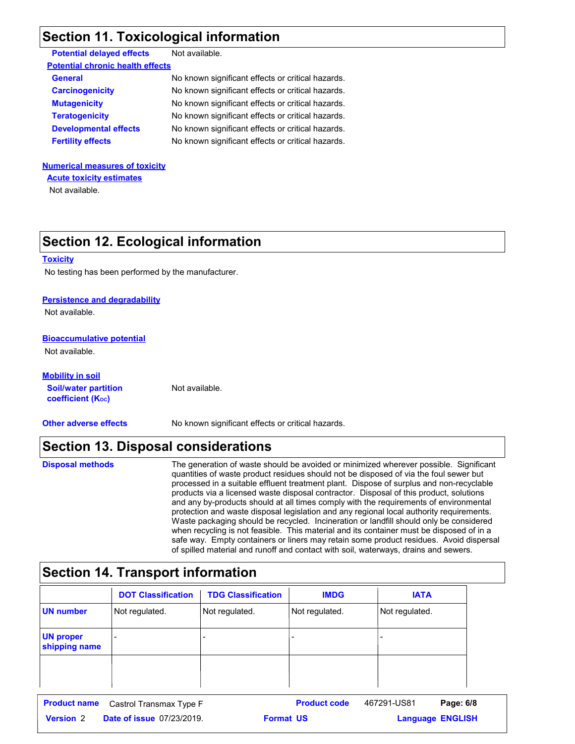## **Section 11. Toxicological information**

| <b>Potential delayed effects</b>        | Not available.                                    |
|-----------------------------------------|---------------------------------------------------|
| <b>Potential chronic health effects</b> |                                                   |
| <b>General</b>                          | No known significant effects or critical hazards. |
| <b>Carcinogenicity</b>                  | No known significant effects or critical hazards. |
| <b>Mutagenicity</b>                     | No known significant effects or critical hazards. |
| <b>Teratogenicity</b>                   | No known significant effects or critical hazards. |
| <b>Developmental effects</b>            | No known significant effects or critical hazards. |
| <b>Fertility effects</b>                | No known significant effects or critical hazards. |
|                                         |                                                   |

## **Numerical measures of toxicity Acute toxicity estimates**

Not available.

## **Section 12. Ecological information**

#### **Toxicity**

No testing has been performed by the manufacturer.

#### **Persistence and degradability**

Not available.

#### **Bioaccumulative potential**

Not available.

### **Soil/water partition coefficient (Koc) Mobility in soil**

**Other adverse effects** No known significant effects or critical hazards.

## **Section 13. Disposal considerations**

Not available.

**Disposal methods**

The generation of waste should be avoided or minimized wherever possible. Significant quantities of waste product residues should not be disposed of via the foul sewer but processed in a suitable effluent treatment plant. Dispose of surplus and non-recyclable products via a licensed waste disposal contractor. Disposal of this product, solutions and any by-products should at all times comply with the requirements of environmental protection and waste disposal legislation and any regional local authority requirements. Waste packaging should be recycled. Incineration or landfill should only be considered when recycling is not feasible. This material and its container must be disposed of in a safe way. Empty containers or liners may retain some product residues. Avoid dispersal of spilled material and runoff and contact with soil, waterways, drains and sewers.

# **Section 14. Transport information**

|                                   | <b>DOT Classification</b> | <b>TDG Classification</b> | <b>IMDG</b>    | <b>IATA</b>    |
|-----------------------------------|---------------------------|---------------------------|----------------|----------------|
| <b>UN number</b>                  | Not regulated.            | Not regulated.            | Not regulated. | Not regulated. |
| <b>UN proper</b><br>shipping name |                           |                           |                |                |
|                                   |                           |                           |                |                |
|                                   |                           |                           |                |                |

**Date of issue** 07/23/2019. **Version** 2 **Format Language Product name** Castrol Transmax Type F **Product code** 467291-US81 **Page: 6/8** | **Language ENGLISH** 467291-US81 **Format US**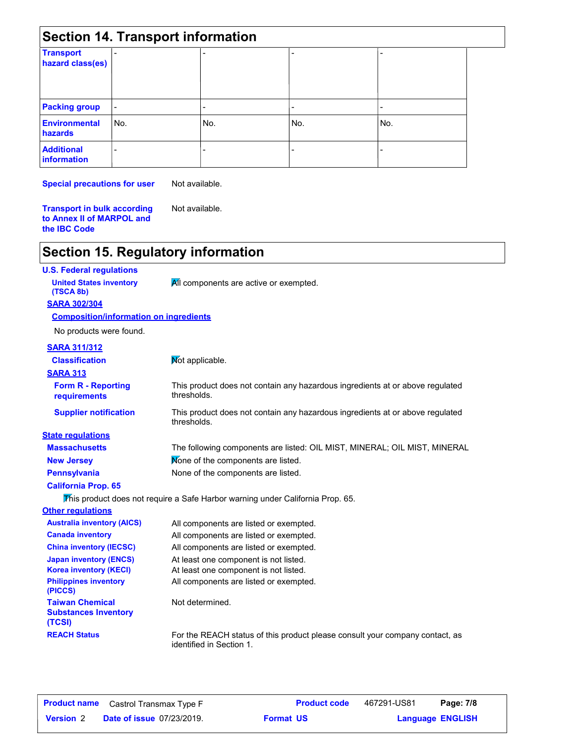| <b>Section 14. Transport information</b> |     |     |     |     |
|------------------------------------------|-----|-----|-----|-----|
| <b>Transport</b><br>hazard class(es)     |     |     |     | -   |
| <b>Packing group</b>                     | ۰   |     | -   |     |
| <b>Environmental</b><br>hazards          | No. | No. | No. | No. |
| <b>Additional</b><br><b>information</b>  | ٠   |     |     |     |

**Special precautions for user**

Not available.

**Transport in bulk according to Annex II of MARPOL and the IBC Code** Not available.

## **Section 15. Regulatory information**

### **U.S. Federal regulations**

**United States inventory All components are active or exempted.** 

#### **SARA 302/304 (TSCA 8b)**

#### **Composition/information on ingredients**

No products were found.

## **SARA 311/312**

| SARA STIISTZ                                                    |                                                                                                          |
|-----------------------------------------------------------------|----------------------------------------------------------------------------------------------------------|
| <b>Classification</b>                                           | Not applicable.                                                                                          |
| <b>SARA 313</b>                                                 |                                                                                                          |
| <b>Form R - Reporting</b><br>requirements                       | This product does not contain any hazardous ingredients at or above regulated<br>thresholds.             |
| <b>Supplier notification</b>                                    | This product does not contain any hazardous ingredients at or above regulated<br>thresholds.             |
| <b>State regulations</b>                                        |                                                                                                          |
| <b>Massachusetts</b>                                            | The following components are listed: OIL MIST, MINERAL; OIL MIST, MINERAL                                |
| <b>New Jersey</b>                                               | Mone of the components are listed.                                                                       |
| <b>Pennsylvania</b>                                             | None of the components are listed.                                                                       |
| <b>California Prop. 65</b>                                      |                                                                                                          |
|                                                                 | This product does not require a Safe Harbor warning under California Prop. 65.                           |
| <b>Other regulations</b>                                        |                                                                                                          |
| <b>Australia inventory (AICS)</b>                               | All components are listed or exempted.                                                                   |
| <b>Canada inventory</b>                                         | All components are listed or exempted.                                                                   |
| <b>China inventory (IECSC)</b>                                  | All components are listed or exempted.                                                                   |
| <b>Japan inventory (ENCS)</b>                                   | At least one component is not listed.                                                                    |
| <b>Korea inventory (KECI)</b>                                   | At least one component is not listed.                                                                    |
| <b>Philippines inventory</b><br>(PICCS)                         | All components are listed or exempted.                                                                   |
| <b>Taiwan Chemical</b><br><b>Substances Inventory</b><br>(TCSI) | Not determined.                                                                                          |
| <b>REACH Status</b>                                             | For the REACH status of this product please consult your company contact, as<br>identified in Section 1. |